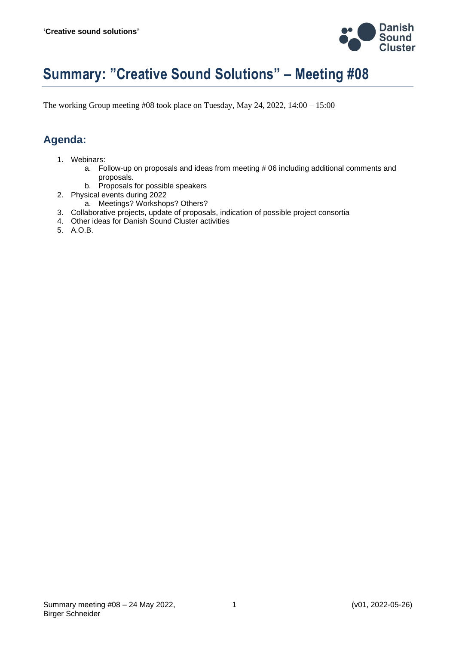

# **Summary: "Creative Sound Solutions" – Meeting #08**

The working Group meeting #08 took place on Tuesday, May 24, 2022, 14:00 – 15:00

## **Agenda:**

- 1. Webinars:
	- a. Follow-up on proposals and ideas from meeting # 06 including additional comments and proposals.
	- b. Proposals for possible speakers
- 2. Physical events during 2022
	- a. Meetings? Workshops? Others?
- 3. Collaborative projects, update of proposals, indication of possible project consortia
- 4. Other ideas for Danish Sound Cluster activities
- 5. A.O.B.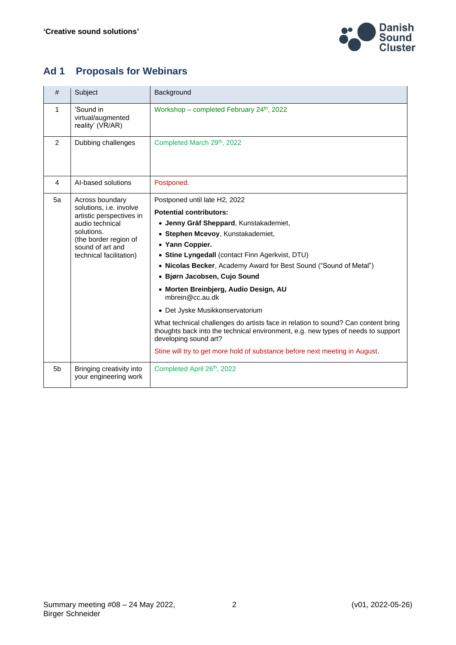

# **Ad 1 Proposals for Webinars**

| #              | Subject                                                                                                                                                                         | Background                                                                                                                                                                                                                                                                                                                                                                                                                                                                                                                                                                                                                                                                                                |
|----------------|---------------------------------------------------------------------------------------------------------------------------------------------------------------------------------|-----------------------------------------------------------------------------------------------------------------------------------------------------------------------------------------------------------------------------------------------------------------------------------------------------------------------------------------------------------------------------------------------------------------------------------------------------------------------------------------------------------------------------------------------------------------------------------------------------------------------------------------------------------------------------------------------------------|
| 1              | 'Sound in<br>virtual/augmented<br>reality' (VR/AR)                                                                                                                              | Workshop – completed February 24 <sup>th</sup> , 2022                                                                                                                                                                                                                                                                                                                                                                                                                                                                                                                                                                                                                                                     |
| 2              | Dubbing challenges                                                                                                                                                              | Completed March 29th, 2022                                                                                                                                                                                                                                                                                                                                                                                                                                                                                                                                                                                                                                                                                |
| 4              | Al-based solutions                                                                                                                                                              | Postponed.                                                                                                                                                                                                                                                                                                                                                                                                                                                                                                                                                                                                                                                                                                |
| 5a             | Across boundary<br>solutions, i.e. involve<br>artistic perspectives in<br>audio technical<br>solutions.<br>(the border region of<br>sound of art and<br>technical facilitation) | Postponed until late H2, 2022<br><b>Potential contributors:</b><br>• Jenny Gräf Sheppard, Kunstakademiet,<br>• Stephen Mcevoy, Kunstakademiet,<br>• Yann Coppier.<br>• Stine Lyngedall (contact Finn Agerkvist, DTU)<br>• Nicolas Becker, Academy Award for Best Sound ("Sound of Metal")<br>• Bjørn Jacobsen, Cujo Sound<br>• Morten Breinbjerg, Audio Design, AU<br>mbrein@cc.au.dk<br>• Det Jyske Musikkonservatorium<br>What technical challenges do artists face in relation to sound? Can content bring<br>thoughts back into the technical environment, e.g. new types of needs to support<br>developing sound art?<br>Stine will try to get more hold of substance before next meeting in August. |
| 5 <sub>b</sub> | Bringing creativity into<br>your engineering work                                                                                                                               | Completed April 26th, 2022                                                                                                                                                                                                                                                                                                                                                                                                                                                                                                                                                                                                                                                                                |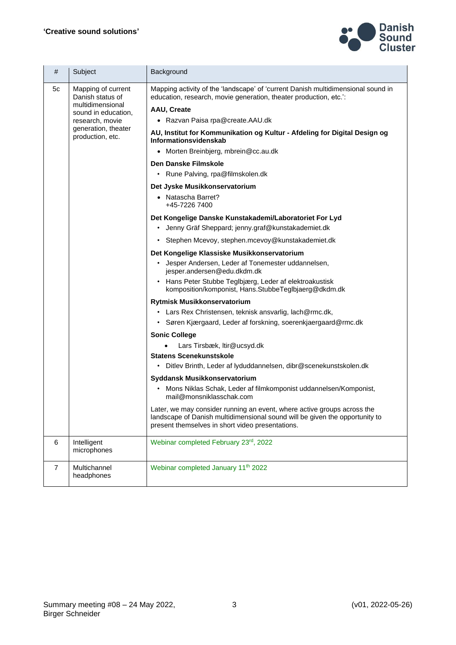

| #              | Subject                                                                                                                                         | Background                                                                                                                                                                                                 |
|----------------|-------------------------------------------------------------------------------------------------------------------------------------------------|------------------------------------------------------------------------------------------------------------------------------------------------------------------------------------------------------------|
| 5c             | Mapping of current<br>Danish status of<br>multidimensional<br>sound in education,<br>research, movie<br>generation, theater<br>production, etc. | Mapping activity of the 'landscape' of 'current Danish multidimensional sound in<br>education, research, movie generation, theater production, etc.':                                                      |
|                |                                                                                                                                                 | <b>AAU, Create</b>                                                                                                                                                                                         |
|                |                                                                                                                                                 | • Razvan Paisa rpa@create.AAU.dk                                                                                                                                                                           |
|                |                                                                                                                                                 | AU, Institut for Kommunikation og Kultur - Afdeling for Digital Design og<br>Informationsvidenskab                                                                                                         |
|                |                                                                                                                                                 | • Morten Breinbjerg, mbrein@cc.au.dk                                                                                                                                                                       |
|                |                                                                                                                                                 | Den Danske Filmskole                                                                                                                                                                                       |
|                |                                                                                                                                                 | • Rune Palving, rpa@filmskolen.dk                                                                                                                                                                          |
|                |                                                                                                                                                 | Det Jyske Musikkonservatorium                                                                                                                                                                              |
|                |                                                                                                                                                 | • Natascha Barret?<br>+45-7226 7400                                                                                                                                                                        |
|                |                                                                                                                                                 | Det Kongelige Danske Kunstakademi/Laboratoriet For Lyd<br>• Jenny Gräf Sheppard; jenny.graf@kunstakademiet.dk                                                                                              |
|                |                                                                                                                                                 |                                                                                                                                                                                                            |
|                |                                                                                                                                                 | · Stephen Mcevoy, stephen.mcevoy@kunstakademiet.dk                                                                                                                                                         |
|                |                                                                                                                                                 | Det Kongelige Klassiske Musikkonservatorium                                                                                                                                                                |
|                |                                                                                                                                                 | • Jesper Andersen, Leder af Tonemester uddannelsen,<br>jesper.andersen@edu.dkdm.dk                                                                                                                         |
|                |                                                                                                                                                 | Hans Peter Stubbe Teglbjærg, Leder af elektroakustisk<br>$\bullet$<br>komposition/komponist, Hans.StubbeTeglbjaerg@dkdm.dk                                                                                 |
|                |                                                                                                                                                 | Rytmisk Musikkonservatorium                                                                                                                                                                                |
|                |                                                                                                                                                 | Lars Rex Christensen, teknisk ansvarlig, lach@rmc.dk,                                                                                                                                                      |
|                |                                                                                                                                                 | Søren Kjærgaard, Leder af forskning, soerenkjaergaard@rmc.dk<br>$\bullet$                                                                                                                                  |
|                |                                                                                                                                                 | <b>Sonic College</b>                                                                                                                                                                                       |
|                |                                                                                                                                                 | Lars Tirsbæk, Itir@ucsyd.dk                                                                                                                                                                                |
|                |                                                                                                                                                 | <b>Statens Scenekunstskole</b>                                                                                                                                                                             |
|                |                                                                                                                                                 | • Ditlev Brinth, Leder af lyduddannelsen, dibr@scenekunstskolen.dk                                                                                                                                         |
|                |                                                                                                                                                 | Syddansk Musikkonservatorium                                                                                                                                                                               |
|                |                                                                                                                                                 | Mons Niklas Schak, Leder af filmkomponist uddannelsen/Komponist,<br>mail@monsniklasschak.com                                                                                                               |
|                |                                                                                                                                                 | Later, we may consider running an event, where active groups across the<br>landscape of Danish multidimensional sound will be given the opportunity to<br>present themselves in short video presentations. |
| 6              | Intelligent<br>microphones                                                                                                                      | Webinar completed February 23rd, 2022                                                                                                                                                                      |
| $\overline{7}$ | Multichannel<br>headphones                                                                                                                      | Webinar completed January 11 <sup>th</sup> 2022                                                                                                                                                            |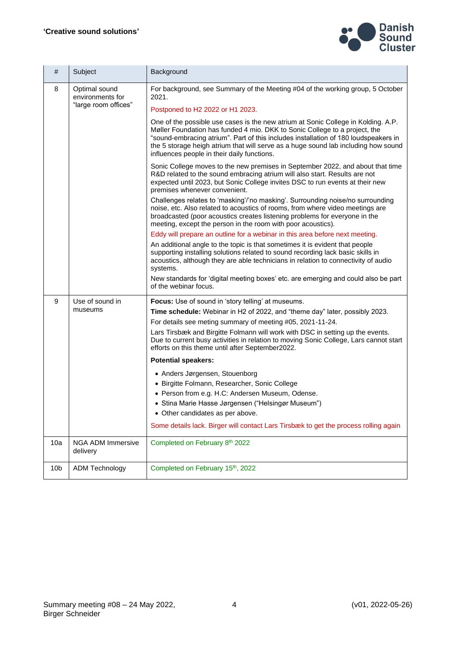

| #               | Subject                                                   | Background                                                                                                                                                                                                                                                                                                                                                                                  |
|-----------------|-----------------------------------------------------------|---------------------------------------------------------------------------------------------------------------------------------------------------------------------------------------------------------------------------------------------------------------------------------------------------------------------------------------------------------------------------------------------|
| 8               | Optimal sound<br>environments for<br>"large room offices" | For background, see Summary of the Meeting #04 of the working group, 5 October<br>2021.                                                                                                                                                                                                                                                                                                     |
|                 |                                                           | Postponed to H2 2022 or H1 2023.                                                                                                                                                                                                                                                                                                                                                            |
|                 |                                                           | One of the possible use cases is the new atrium at Sonic College in Kolding. A.P.<br>Møller Foundation has funded 4 mio. DKK to Sonic College to a project, the<br>"sound-embracing atrium". Part of this includes installation of 180 loudspeakers in<br>the 5 storage heigh atrium that will serve as a huge sound lab including how sound<br>influences people in their daily functions. |
|                 |                                                           | Sonic College moves to the new premises in September 2022, and about that time<br>R&D related to the sound embracing atrium will also start. Results are not<br>expected until 2023, but Sonic College invites DSC to run events at their new<br>premises whenever convenient.                                                                                                              |
|                 |                                                           | Challenges relates to 'masking'/'no masking'. Surrounding noise/no surrounding<br>noise, etc. Also related to acoustics of rooms, from where video meetings are<br>broadcasted (poor acoustics creates listening problems for everyone in the<br>meeting, except the person in the room with poor acoustics).                                                                               |
|                 |                                                           | Eddy will prepare an outline for a webinar in this area before next meeting.                                                                                                                                                                                                                                                                                                                |
|                 |                                                           | An additional angle to the topic is that sometimes it is evident that people<br>supporting installing solutions related to sound recording lack basic skills in<br>acoustics, although they are able technicians in relation to connectivity of audio<br>systems.                                                                                                                           |
|                 |                                                           | New standards for 'digital meeting boxes' etc. are emerging and could also be part<br>of the webinar focus.                                                                                                                                                                                                                                                                                 |
| 9               | Use of sound in                                           | Focus: Use of sound in 'story telling' at museums.                                                                                                                                                                                                                                                                                                                                          |
|                 | museums                                                   | Time schedule: Webinar in H2 of 2022, and "theme day" later, possibly 2023.                                                                                                                                                                                                                                                                                                                 |
|                 |                                                           | For details see meting summary of meeting #05, 2021-11-24.                                                                                                                                                                                                                                                                                                                                  |
|                 |                                                           | Lars Tirsbæk and Birgitte Folmann will work with DSC in setting up the events.<br>Due to current busy activities in relation to moving Sonic College, Lars cannot start<br>efforts on this theme until after September2022.                                                                                                                                                                 |
|                 |                                                           | <b>Potential speakers:</b>                                                                                                                                                                                                                                                                                                                                                                  |
|                 |                                                           | • Anders Jørgensen, Stouenborg                                                                                                                                                                                                                                                                                                                                                              |
|                 |                                                           | · Birgitte Folmann, Researcher, Sonic College                                                                                                                                                                                                                                                                                                                                               |
|                 |                                                           | • Person from e.g. H.C: Andersen Museum, Odense.                                                                                                                                                                                                                                                                                                                                            |
|                 |                                                           | • Stina Marie Hasse Jørgensen ("Helsingør Museum")                                                                                                                                                                                                                                                                                                                                          |
|                 |                                                           | • Other candidates as per above.                                                                                                                                                                                                                                                                                                                                                            |
|                 |                                                           | Some details lack. Birger will contact Lars Tirsbæk to get the process rolling again                                                                                                                                                                                                                                                                                                        |
| 10a             | <b>NGA ADM Immersive</b><br>delivery                      | Completed on February 8th 2022                                                                                                                                                                                                                                                                                                                                                              |
| 10 <sub>b</sub> | <b>ADM Technology</b>                                     | Completed on February 15th, 2022                                                                                                                                                                                                                                                                                                                                                            |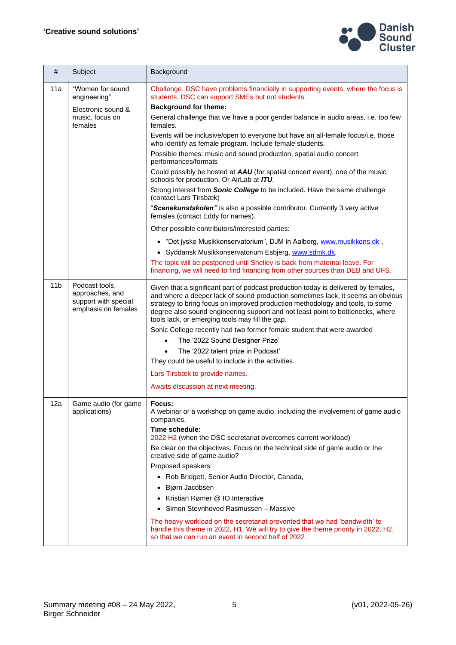

| #               | Subject                                                                          | Background                                                                                                                                                                                                                                                                                                                                                                                   |
|-----------------|----------------------------------------------------------------------------------|----------------------------------------------------------------------------------------------------------------------------------------------------------------------------------------------------------------------------------------------------------------------------------------------------------------------------------------------------------------------------------------------|
| 11a             | "Women for sound<br>engineering"                                                 | Challenge. DSC have problems financially in supporting events, where the focus is<br>students. DSC can support SMEs but not students.                                                                                                                                                                                                                                                        |
|                 | Electronic sound &<br>music, focus on<br>females                                 | <b>Background for theme:</b>                                                                                                                                                                                                                                                                                                                                                                 |
|                 |                                                                                  | General challenge that we have a poor gender balance in audio areas, i.e. too few<br>females.                                                                                                                                                                                                                                                                                                |
|                 |                                                                                  | Events will be inclusive/open to everyone but have an all-female focus/i.e. those<br>who identify as female program. Include female students.                                                                                                                                                                                                                                                |
|                 |                                                                                  | Possible themes: music and sound production, spatial audio concert<br>performances/formats                                                                                                                                                                                                                                                                                                   |
|                 |                                                                                  | Could possibly be hosted at AAU (for spatial concert event), one of the music<br>schools for production. Or AirLab at ITU.                                                                                                                                                                                                                                                                   |
|                 |                                                                                  | Strong interest from Sonic College to be included. Have the same challenge<br>(contact Lars Tirsbæk)                                                                                                                                                                                                                                                                                         |
|                 |                                                                                  | "Scenekunstskolen" is also a possible contributor. Currently 3 very active<br>females (contact Eddy for names).                                                                                                                                                                                                                                                                              |
|                 |                                                                                  | Other possible contributors/interested parties:                                                                                                                                                                                                                                                                                                                                              |
|                 |                                                                                  | • "Det jyske Musikkonservatorium", DJM in Aalborg, www.musikkons.dk,                                                                                                                                                                                                                                                                                                                         |
|                 |                                                                                  | • Syddansk Musikkonservatorium Esbjerg, www.sdmk.dk,                                                                                                                                                                                                                                                                                                                                         |
|                 |                                                                                  | The topic will be postponed until Shelley is back from maternal leave. For                                                                                                                                                                                                                                                                                                                   |
|                 |                                                                                  | financing, we will need to find financing from other sources than DEB and UFS.                                                                                                                                                                                                                                                                                                               |
| 11 <sub>b</sub> | Podcast tools,<br>approaches, and<br>support with special<br>emphasis on females | Given that a significant part of podcast production today is delivered by females,<br>and where a deeper lack of sound production sometimes lack, it seems an obvious<br>strategy to bring focus on improved production methodology and tools, to some<br>degree also sound engineering support and not least point to bottlenecks, where<br>tools lack, or emerging tools may fill the gap. |
|                 |                                                                                  | Sonic College recently had two former female student that were awarded                                                                                                                                                                                                                                                                                                                       |
|                 |                                                                                  | The '2022 Sound Designer Prize'                                                                                                                                                                                                                                                                                                                                                              |
|                 |                                                                                  | The '2022 talent prize in Podcast'<br>$\bullet$                                                                                                                                                                                                                                                                                                                                              |
|                 |                                                                                  | They could be useful to include in the activities.                                                                                                                                                                                                                                                                                                                                           |
|                 |                                                                                  | Lars Tirsbæk to provide names.                                                                                                                                                                                                                                                                                                                                                               |
|                 |                                                                                  | Awaits discussion at next meeting.                                                                                                                                                                                                                                                                                                                                                           |
| 12a             | Game audio (for game<br>applications)                                            | Focus:<br>A webinar or a workshop on game audio, including the involvement of game audio<br>companies.                                                                                                                                                                                                                                                                                       |
|                 |                                                                                  | Time schedule:<br>2022 H <sub>2</sub> (when the DSC secretariat overcomes current workload)                                                                                                                                                                                                                                                                                                  |
|                 |                                                                                  | Be clear on the objectives. Focus on the technical side of game audio or the<br>creative side of game audio?                                                                                                                                                                                                                                                                                 |
|                 |                                                                                  | Proposed speakers:                                                                                                                                                                                                                                                                                                                                                                           |
|                 |                                                                                  | Rob Bridgett, Senior Audio Director, Canada,<br>$\bullet$                                                                                                                                                                                                                                                                                                                                    |
|                 |                                                                                  | Bjørn Jacobsen<br>$\bullet$                                                                                                                                                                                                                                                                                                                                                                  |
|                 |                                                                                  | Kristian Rømer @ IO Interactive                                                                                                                                                                                                                                                                                                                                                              |
|                 |                                                                                  | Simon Stevnhoved Rasmussen - Massive                                                                                                                                                                                                                                                                                                                                                         |
|                 |                                                                                  | The heavy workload on the secretariat prevented that we had 'bandwidth' to<br>handle this theme in 2022, H1. We will try to give the theme priority in 2022, H2,<br>so that we can run an event in second half of 2022.                                                                                                                                                                      |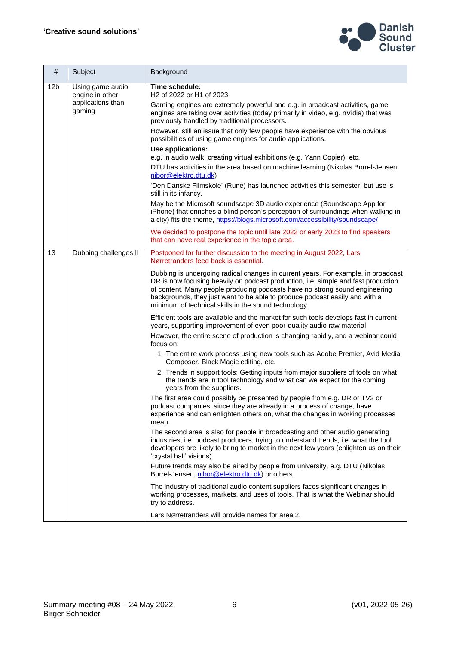

| #               | Subject                                                            | Background                                                                                                                                                                                                                                                                                                                                                                                   |
|-----------------|--------------------------------------------------------------------|----------------------------------------------------------------------------------------------------------------------------------------------------------------------------------------------------------------------------------------------------------------------------------------------------------------------------------------------------------------------------------------------|
| 12 <sub>b</sub> | Using game audio<br>engine in other<br>applications than<br>gaming | Time schedule:<br>H <sub>2</sub> of 2022 or H <sub>1</sub> of 2023                                                                                                                                                                                                                                                                                                                           |
|                 |                                                                    | Gaming engines are extremely powerful and e.g. in broadcast activities, game<br>engines are taking over activities (today primarily in video, e.g. nVidia) that was<br>previously handled by traditional processors.                                                                                                                                                                         |
|                 |                                                                    | However, still an issue that only few people have experience with the obvious<br>possibilities of using game engines for audio applications.                                                                                                                                                                                                                                                 |
|                 |                                                                    | Use applications:<br>e.g. in audio walk, creating virtual exhibitions (e.g. Yann Copier), etc.                                                                                                                                                                                                                                                                                               |
|                 |                                                                    | DTU has activities in the area based on machine learning (Nikolas Borrel-Jensen,<br>nibor@elektro.dtu.dk)                                                                                                                                                                                                                                                                                    |
|                 |                                                                    | 'Den Danske Filmskole' (Rune) has launched activities this semester, but use is<br>still in its infancy.                                                                                                                                                                                                                                                                                     |
|                 |                                                                    | May be the Microsoft soundscape 3D audio experience (Soundscape App for<br>iPhone) that enriches a blind person's perception of surroundings when walking in<br>a city) fits the theme, https://blogs.microsoft.com/accessibility/soundscape/                                                                                                                                                |
|                 |                                                                    | We decided to postpone the topic until late 2022 or early 2023 to find speakers<br>that can have real experience in the topic area.                                                                                                                                                                                                                                                          |
| 13              | Dubbing challenges II                                              | Postponed for further discussion to the meeting in August 2022, Lars<br>Nørretranders feed back is essential.                                                                                                                                                                                                                                                                                |
|                 |                                                                    | Dubbing is undergoing radical changes in current years. For example, in broadcast<br>DR is now focusing heavily on podcast production, i.e. simple and fast production<br>of content. Many people producing podcasts have no strong sound engineering<br>backgrounds, they just want to be able to produce podcast easily and with a<br>minimum of technical skills in the sound technology. |
|                 |                                                                    | Efficient tools are available and the market for such tools develops fast in current<br>years, supporting improvement of even poor-quality audio raw material.                                                                                                                                                                                                                               |
|                 |                                                                    | However, the entire scene of production is changing rapidly, and a webinar could<br>focus on:                                                                                                                                                                                                                                                                                                |
|                 |                                                                    | 1. The entire work process using new tools such as Adobe Premier, Avid Media<br>Composer, Black Magic editing, etc.                                                                                                                                                                                                                                                                          |
|                 |                                                                    | 2. Trends in support tools: Getting inputs from major suppliers of tools on what<br>the trends are in tool technology and what can we expect for the coming<br>years from the suppliers.                                                                                                                                                                                                     |
|                 |                                                                    | The first area could possibly be presented by people from e.g. DR or TV2 or<br>podcast companies, since they are already in a process of change, have<br>experience and can enlighten others on, what the changes in working processes<br>mean.                                                                                                                                              |
|                 |                                                                    | The second area is also for people in broadcasting and other audio generating<br>industries, i.e. podcast producers, trying to understand trends, i.e. what the tool<br>developers are likely to bring to market in the next few years (enlighten us on their<br>'crystal ball' visions).                                                                                                    |
|                 |                                                                    | Future trends may also be aired by people from university, e.g. DTU (Nikolas<br>Borrel-Jensen, nibor@elektro.dtu.dk) or others.                                                                                                                                                                                                                                                              |
|                 |                                                                    | The industry of traditional audio content suppliers faces significant changes in<br>working processes, markets, and uses of tools. That is what the Webinar should<br>try to address.                                                                                                                                                                                                        |
|                 |                                                                    | Lars Nørretranders will provide names for area 2.                                                                                                                                                                                                                                                                                                                                            |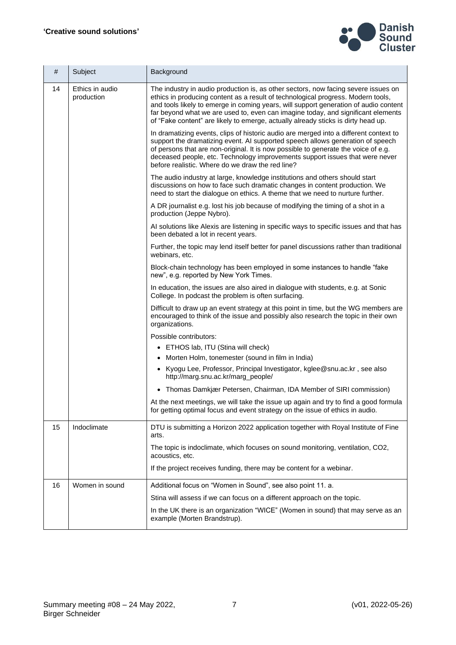

| #  | Subject                       | Background                                                                                                                                                                                                                                                                                                                                                                                                                              |
|----|-------------------------------|-----------------------------------------------------------------------------------------------------------------------------------------------------------------------------------------------------------------------------------------------------------------------------------------------------------------------------------------------------------------------------------------------------------------------------------------|
| 14 | Ethics in audio<br>production | The industry in audio production is, as other sectors, now facing severe issues on<br>ethics in producing content as a result of technological progress. Modern tools,<br>and tools likely to emerge in coming years, will support generation of audio content<br>far beyond what we are used to, even can imagine today, and significant elements<br>of "Fake content" are likely to emerge, actually already sticks is dirty head up. |
|    |                               | In dramatizing events, clips of historic audio are merged into a different context to<br>support the dramatizing event. AI supported speech allows generation of speech<br>of persons that are non-original. It is now possible to generate the voice of e.g.<br>deceased people, etc. Technology improvements support issues that were never<br>before realistic. Where do we draw the red line?                                       |
|    |                               | The audio industry at large, knowledge institutions and others should start<br>discussions on how to face such dramatic changes in content production. We<br>need to start the dialogue on ethics. A theme that we need to nurture further.                                                                                                                                                                                             |
|    |                               | A DR journalist e.g. lost his job because of modifying the timing of a shot in a<br>production (Jeppe Nybro).                                                                                                                                                                                                                                                                                                                           |
|    |                               | AI solutions like Alexis are listening in specific ways to specific issues and that has<br>been debated a lot in recent years.                                                                                                                                                                                                                                                                                                          |
|    |                               | Further, the topic may lend itself better for panel discussions rather than traditional<br>webinars, etc.                                                                                                                                                                                                                                                                                                                               |
|    |                               | Block-chain technology has been employed in some instances to handle "fake<br>new", e.g. reported by New York Times.                                                                                                                                                                                                                                                                                                                    |
|    |                               | In education, the issues are also aired in dialogue with students, e.g. at Sonic<br>College. In podcast the problem is often surfacing.                                                                                                                                                                                                                                                                                                 |
|    |                               | Difficult to draw up an event strategy at this point in time, but the WG members are<br>encouraged to think of the issue and possibly also research the topic in their own<br>organizations.                                                                                                                                                                                                                                            |
|    |                               | Possible contributors:                                                                                                                                                                                                                                                                                                                                                                                                                  |
|    |                               | • ETHOS lab, ITU (Stina will check)                                                                                                                                                                                                                                                                                                                                                                                                     |
|    |                               | • Morten Holm, tonemester (sound in film in India)                                                                                                                                                                                                                                                                                                                                                                                      |
|    |                               | • Kyogu Lee, Professor, Principal Investigator, kglee@snu.ac.kr, see also<br>http://marg.snu.ac.kr/marg_people/                                                                                                                                                                                                                                                                                                                         |
|    |                               | • Thomas Damkjær Petersen, Chairman, IDA Member of SIRI commission)                                                                                                                                                                                                                                                                                                                                                                     |
|    |                               | At the next meetings, we will take the issue up again and try to find a good formula<br>for getting optimal focus and event strategy on the issue of ethics in audio.                                                                                                                                                                                                                                                                   |
| 15 | Indoclimate                   | DTU is submitting a Horizon 2022 application together with Royal Institute of Fine<br>arts.                                                                                                                                                                                                                                                                                                                                             |
|    |                               | The topic is indoclimate, which focuses on sound monitoring, ventilation, CO2,<br>acoustics, etc.                                                                                                                                                                                                                                                                                                                                       |
|    |                               | If the project receives funding, there may be content for a webinar.                                                                                                                                                                                                                                                                                                                                                                    |
| 16 | Women in sound                | Additional focus on "Women in Sound", see also point 11. a.                                                                                                                                                                                                                                                                                                                                                                             |
|    |                               | Stina will assess if we can focus on a different approach on the topic.                                                                                                                                                                                                                                                                                                                                                                 |
|    |                               | In the UK there is an organization "WICE" (Women in sound) that may serve as an<br>example (Morten Brandstrup).                                                                                                                                                                                                                                                                                                                         |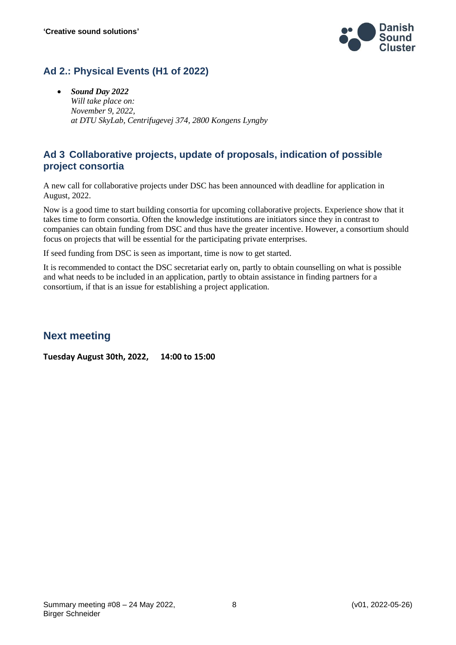

#### **Ad 2.: Physical Events (H1 of 2022)**

• *Sound Day 2022 Will take place on: November 9, 2022, at DTU SkyLab, Centrifugevej 374, 2800 Kongens Lyngby*

#### **Ad 3 Collaborative projects, update of proposals, indication of possible project consortia**

A new call for collaborative projects under DSC has been announced with deadline for application in August, 2022.

Now is a good time to start building consortia for upcoming collaborative projects. Experience show that it takes time to form consortia. Often the knowledge institutions are initiators since they in contrast to companies can obtain funding from DSC and thus have the greater incentive. However, a consortium should focus on projects that will be essential for the participating private enterprises.

If seed funding from DSC is seen as important, time is now to get started.

It is recommended to contact the DSC secretariat early on, partly to obtain counselling on what is possible and what needs to be included in an application, partly to obtain assistance in finding partners for a consortium, if that is an issue for establishing a project application.

#### **Next meeting**

**Tuesday August 30th, 2022, 14:00 to 15:00**